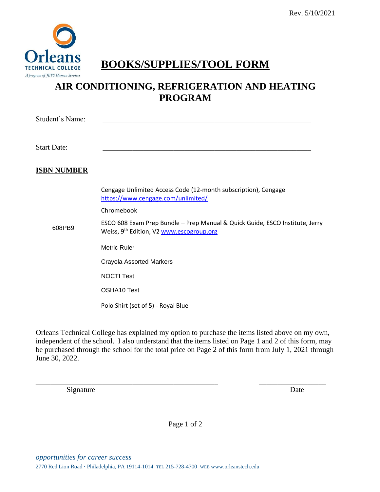

## **BOOKS/SUPPLIES/TOOL FORM**

### **AIR CONDITIONING, REFRIGERATION AND HEATING PROGRAM**

Student's Name:

Start Date: \_\_\_\_\_\_\_\_\_\_\_\_\_\_\_\_\_\_\_\_\_\_\_\_\_\_\_\_\_\_\_\_\_\_\_\_\_\_\_\_\_\_\_\_\_\_\_\_\_\_\_\_\_\_\_\_

#### **ISBN NUMBER**

608PB9

Cengage Unlimited Access Code (12-month subscription), Cengage https://www.cengage.com/unlimited/

Chromebook

ESCO 608 Exam Prep Bundle – Prep Manual & Quick Guide, ESCO Institute, Jerry Weiss, 9<sup>th</sup> Edition, V2 www.escogroup.org

Metric Ruler

Crayola Assorted Markers

NOCTI Test

OSHA10 Test

Polo Shirt (set of 5) - Royal Blue

Orleans Technical College has explained my option to purchase the items listed above on my own, independent of the school. I also understand that the items listed on Page 1 and 2 of this form, may be purchased through the school for the total price on Page 2 of this form from July 1, 2021 through June 30, 2022.

\_\_\_\_\_\_\_\_\_\_\_\_\_\_\_\_\_\_\_\_\_\_\_\_\_\_\_\_\_\_\_\_\_\_\_\_\_\_\_\_\_\_\_\_\_\_\_\_\_ \_\_\_\_\_\_\_\_\_\_\_\_\_\_\_\_\_\_

Signature Date by Date Date of the United States of the United States of the United States of the United States of the United States of the United States of the United States of the United States of the United States of th

Page 1 of 2